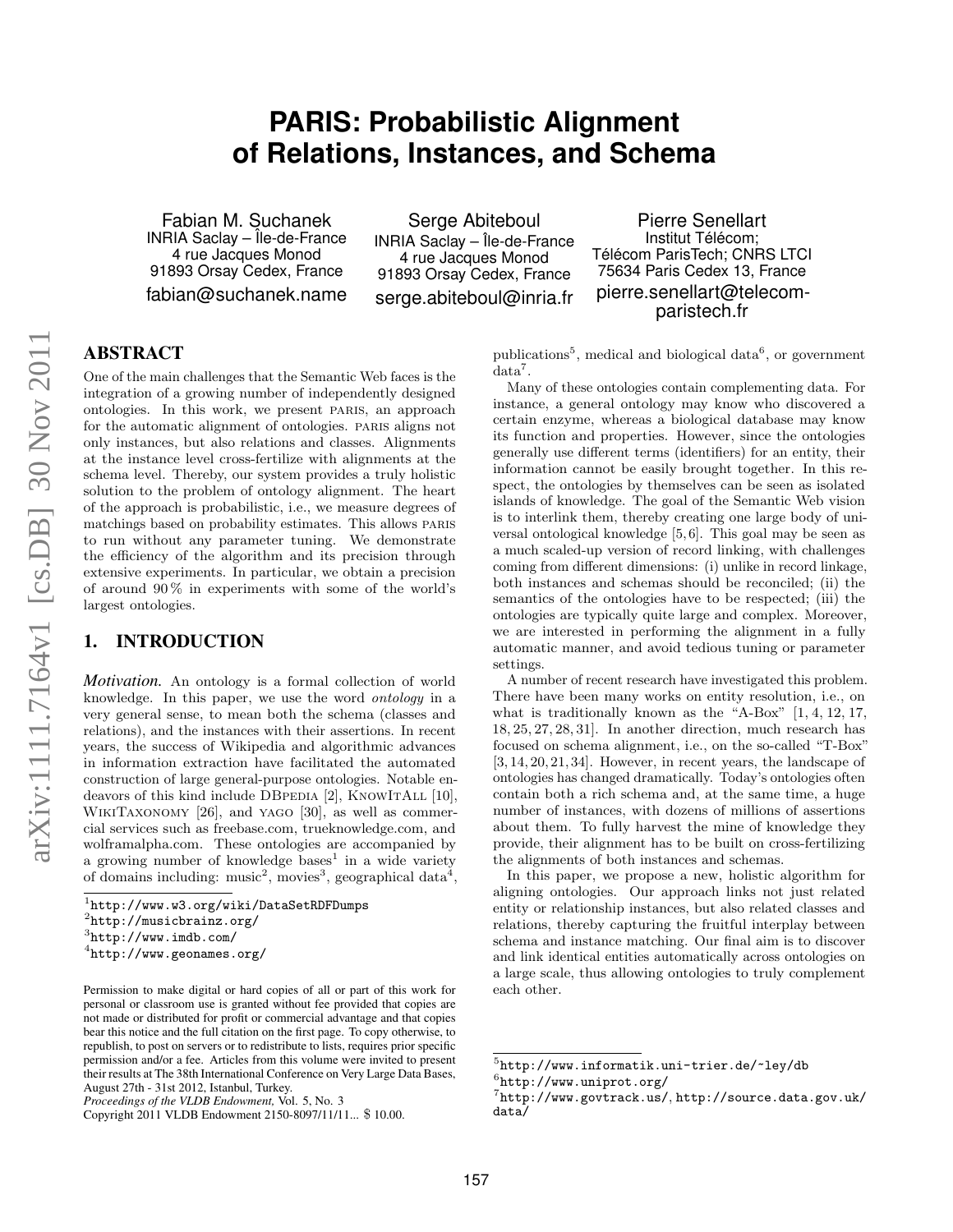# **PARIS: Probabilistic Alignment of Relations, Instances, and Schema**

Fabian M. Suchanek  $INRIA$  Saclay – Île-de-France 4 rue Jacques Monod 91893 Orsay Cedex, France fabian@suchanek.name

Serge Abiteboul INRIA Saclav – Île-de-France 4 rue Jacques Monod 91893 Orsay Cedex, France serge.abiteboul@inria.fr

Pierre Senellart Institut Télécom; Télécom ParisTech; CNRS LTCI 75634 Paris Cedex 13, France pierre.senellart@telecomparistech.fr

# ABSTRACT

One of the main challenges that the Semantic Web faces is the integration of a growing number of independently designed ontologies. In this work, we present paris, an approach for the automatic alignment of ontologies. paris aligns not only instances, but also relations and classes. Alignments at the instance level cross-fertilize with alignments at the schema level. Thereby, our system provides a truly holistic solution to the problem of ontology alignment. The heart of the approach is probabilistic, i.e., we measure degrees of matchings based on probability estimates. This allows paris to run without any parameter tuning. We demonstrate the efficiency of the algorithm and its precision through extensive experiments. In particular, we obtain a precision of around  $90\%$  in experiments with some of the world's largest ontologies.

# 1. INTRODUCTION

*Motivation.* An ontology is a formal collection of world knowledge. In this paper, we use the word ontology in a very general sense, to mean both the schema (classes and relations), and the instances with their assertions. In recent years, the success of Wikipedia and algorithmic advances in information extraction have facilitated the automated construction of large general-purpose ontologies. Notable endeavors of this kind include DBPEDIA  $[2]$ , KNOWITALL  $[10]$ , WikiTaxonomy [26], and yago [30], as well as commercial services such as freebase.com, trueknowledge.com, and wolframalpha.com. These ontologies are accompanied by a growing number of knowledge bases<sup>1</sup> in a wide variety of domains including:  $music^2$ , movies<sup>3</sup>, geographical data<sup>4</sup>, publications<sup>5</sup>, medical and biological data<sup>6</sup>, or government  $data<sup>7</sup>$ .

Many of these ontologies contain complementing data. For instance, a general ontology may know who discovered a certain enzyme, whereas a biological database may know its function and properties. However, since the ontologies generally use different terms (identifiers) for an entity, their information cannot be easily brought together. In this respect, the ontologies by themselves can be seen as isolated islands of knowledge. The goal of the Semantic Web vision is to interlink them, thereby creating one large body of universal ontological knowledge [5, 6]. This goal may be seen as a much scaled-up version of record linking, with challenges coming from different dimensions: (i) unlike in record linkage, both instances and schemas should be reconciled; (ii) the semantics of the ontologies have to be respected; (iii) the ontologies are typically quite large and complex. Moreover, we are interested in performing the alignment in a fully automatic manner, and avoid tedious tuning or parameter settings.

A number of recent research have investigated this problem. There have been many works on entity resolution, i.e., on what is traditionally known as the "A-Box" [1, 4, 12, 17, 18, 25, 27, 28, 31]. In another direction, much research has focused on schema alignment, i.e., on the so-called "T-Box" [3, 14, 20, 21, 34]. However, in recent years, the landscape of ontologies has changed dramatically. Today's ontologies often contain both a rich schema and, at the same time, a huge number of instances, with dozens of millions of assertions about them. To fully harvest the mine of knowledge they provide, their alignment has to be built on cross-fertilizing the alignments of both instances and schemas.

In this paper, we propose a new, holistic algorithm for aligning ontologies. Our approach links not just related entity or relationship instances, but also related classes and relations, thereby capturing the fruitful interplay between schema and instance matching. Our final aim is to discover and link identical entities automatically across ontologies on a large scale, thus allowing ontologies to truly complement each other.

<sup>1</sup> http://www.w3.org/wiki/DataSetRDFDumps

 $^{2}$ http://musicbrainz.org/

 ${}^{3}$ http://www.imdb.com/

<sup>4</sup> http://www.geonames.org/

Permission to make digital or hard copies of all or part of this work for personal or classroom use is granted without fee provided that copies are not made or distributed for profit or commercial advantage and that copies bear this notice and the full citation on the first page. To copy otherwise, to republish, to post on servers or to redistribute to lists, requires prior specific permission and/or a fee. Articles from this volume were invited to present their results at The 38th International Conference on Very Large Data Bases, August 27th - 31st 2012, Istanbul, Turkey.

*Proceedings of the VLDB Endowment,* Vol. 5, No. 3

Copyright 2011 VLDB Endowment 2150-8097/11/11... \$ 10.00.

 $^{5}_{2}$ http://www.informatik.uni-trier.de/~ley/db

 $6$ http://www.uniprot.org/

 $^{7}$ http://www.govtrack.us/,http://source.data.gov.uk/ data/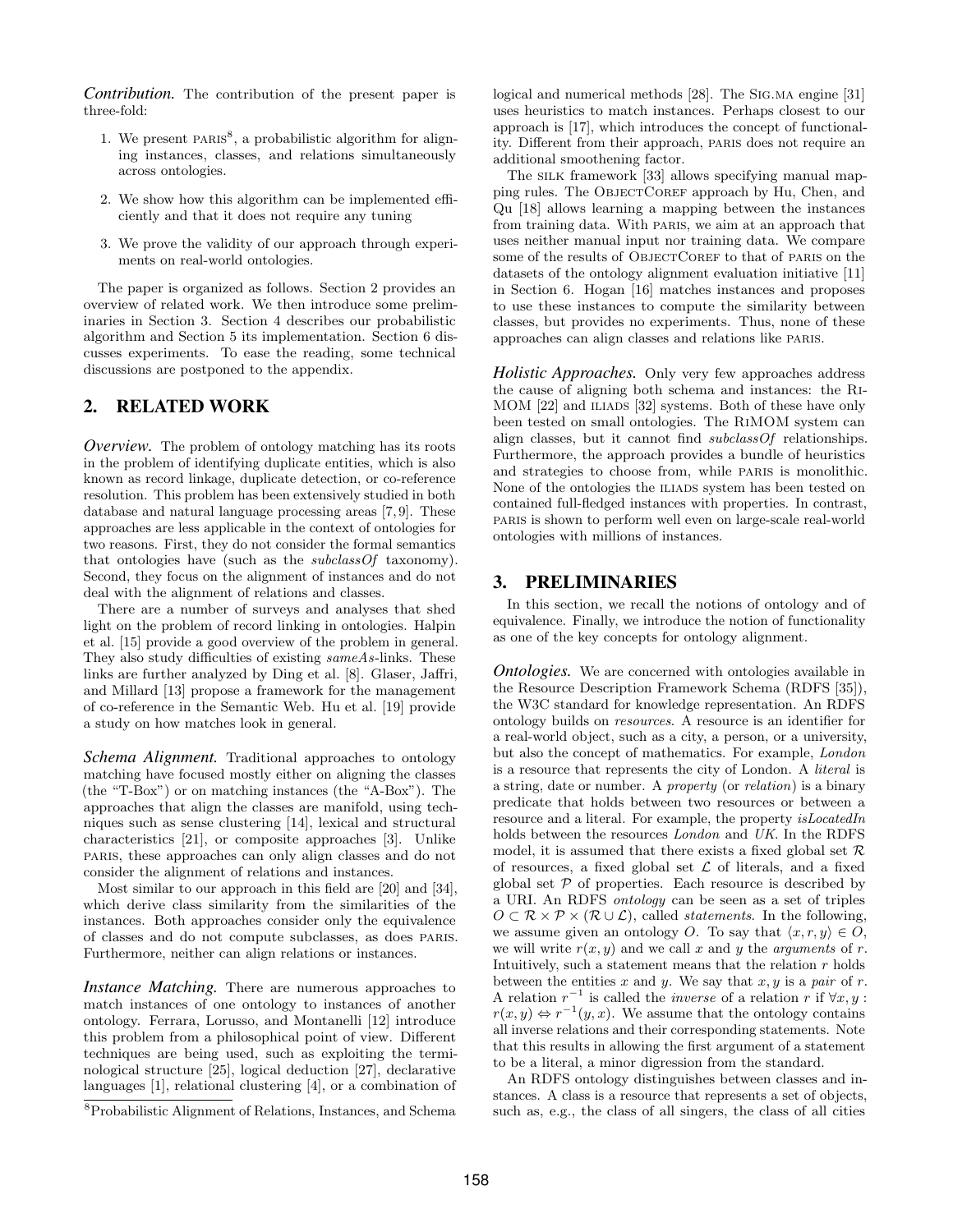*Contribution.* The contribution of the present paper is three-fold:

- 1. We present  $PARS^8$ , a probabilistic algorithm for aligning instances, classes, and relations simultaneously across ontologies.
- 2. We show how this algorithm can be implemented efficiently and that it does not require any tuning
- 3. We prove the validity of our approach through experiments on real-world ontologies.

The paper is organized as follows. Section 2 provides an overview of related work. We then introduce some preliminaries in Section 3. Section 4 describes our probabilistic algorithm and Section 5 its implementation. Section 6 discusses experiments. To ease the reading, some technical discussions are postponed to the appendix.

## 2. RELATED WORK

*Overview.* The problem of ontology matching has its roots in the problem of identifying duplicate entities, which is also known as record linkage, duplicate detection, or co-reference resolution. This problem has been extensively studied in both database and natural language processing areas [7, 9]. These approaches are less applicable in the context of ontologies for two reasons. First, they do not consider the formal semantics that ontologies have (such as the *subclassOf* taxonomy). Second, they focus on the alignment of instances and do not deal with the alignment of relations and classes.

There are a number of surveys and analyses that shed light on the problem of record linking in ontologies. Halpin et al. [15] provide a good overview of the problem in general. They also study difficulties of existing sameAs-links. These links are further analyzed by Ding et al. [8]. Glaser, Jaffri, and Millard [13] propose a framework for the management of co-reference in the Semantic Web. Hu et al. [19] provide a study on how matches look in general.

*Schema Alignment.* Traditional approaches to ontology matching have focused mostly either on aligning the classes (the "T-Box") or on matching instances (the "A-Box"). The approaches that align the classes are manifold, using techniques such as sense clustering [14], lexical and structural characteristics [21], or composite approaches [3]. Unlike paris, these approaches can only align classes and do not consider the alignment of relations and instances.

Most similar to our approach in this field are [20] and [34], which derive class similarity from the similarities of the instances. Both approaches consider only the equivalence of classes and do not compute subclasses, as does paris. Furthermore, neither can align relations or instances.

*Instance Matching.* There are numerous approaches to match instances of one ontology to instances of another ontology. Ferrara, Lorusso, and Montanelli [12] introduce this problem from a philosophical point of view. Different techniques are being used, such as exploiting the terminological structure [25], logical deduction [27], declarative languages [1], relational clustering [4], or a combination of

logical and numerical methods [28]. The SIG.MA engine [31] uses heuristics to match instances. Perhaps closest to our approach is [17], which introduces the concept of functionality. Different from their approach, paris does not require an additional smoothening factor.

The silk framework [33] allows specifying manual mapping rules. The OBJECTCOREF approach by Hu, Chen, and Qu [18] allows learning a mapping between the instances from training data. With paris, we aim at an approach that uses neither manual input nor training data. We compare some of the results of OBJECTCOREF to that of PARIS on the datasets of the ontology alignment evaluation initiative [11] in Section 6. Hogan [16] matches instances and proposes to use these instances to compute the similarity between classes, but provides no experiments. Thus, none of these approaches can align classes and relations like paris.

*Holistic Approaches.* Only very few approaches address the cause of aligning both schema and instances: the Ri-MOM [22] and ILIADS [32] systems. Both of these have only been tested on small ontologies. The RiMOM system can align classes, but it cannot find subclassOf relationships. Furthermore, the approach provides a bundle of heuristics and strategies to choose from, while paris is monolithic. None of the ontologies the ILIADS system has been tested on contained full-fledged instances with properties. In contrast, paris is shown to perform well even on large-scale real-world ontologies with millions of instances.

## 3. PRELIMINARIES

In this section, we recall the notions of ontology and of equivalence. Finally, we introduce the notion of functionality as one of the key concepts for ontology alignment.

*Ontologies.* We are concerned with ontologies available in the Resource Description Framework Schema (RDFS [35]), the W3C standard for knowledge representation. An RDFS ontology builds on resources. A resource is an identifier for a real-world object, such as a city, a person, or a university, but also the concept of mathematics. For example, London is a resource that represents the city of London. A literal is a string, date or number. A property (or relation) is a binary predicate that holds between two resources or between a resource and a literal. For example, the property *isLocatedIn* holds between the resources London and UK. In the RDFS model, it is assumed that there exists a fixed global set  $\mathcal{R}$ of resources, a fixed global set  $\mathcal L$  of literals, and a fixed global set  $P$  of properties. Each resource is described by a URI. An RDFS ontology can be seen as a set of triples  $O \subset \mathcal{R} \times \mathcal{P} \times (\mathcal{R} \cup \mathcal{L})$ , called *statements*. In the following, we assume given an ontology O. To say that  $\langle x, r, y \rangle \in O$ , we will write  $r(x, y)$  and we call x and y the arguments of r. Intuitively, such a statement means that the relation  $r$  holds between the entities x and y. We say that  $x, y$  is a pair of r. A relation  $r^{-1}$  is called the *inverse* of a relation r if  $\forall x, y$ :  $r(x, y) \Leftrightarrow r^{-1}(y, x)$ . We assume that the ontology contains all inverse relations and their corresponding statements. Note that this results in allowing the first argument of a statement to be a literal, a minor digression from the standard.

An RDFS ontology distinguishes between classes and instances. A class is a resource that represents a set of objects, such as, e.g., the class of all singers, the class of all cities

<sup>8</sup>Probabilistic Alignment of Relations, Instances, and Schema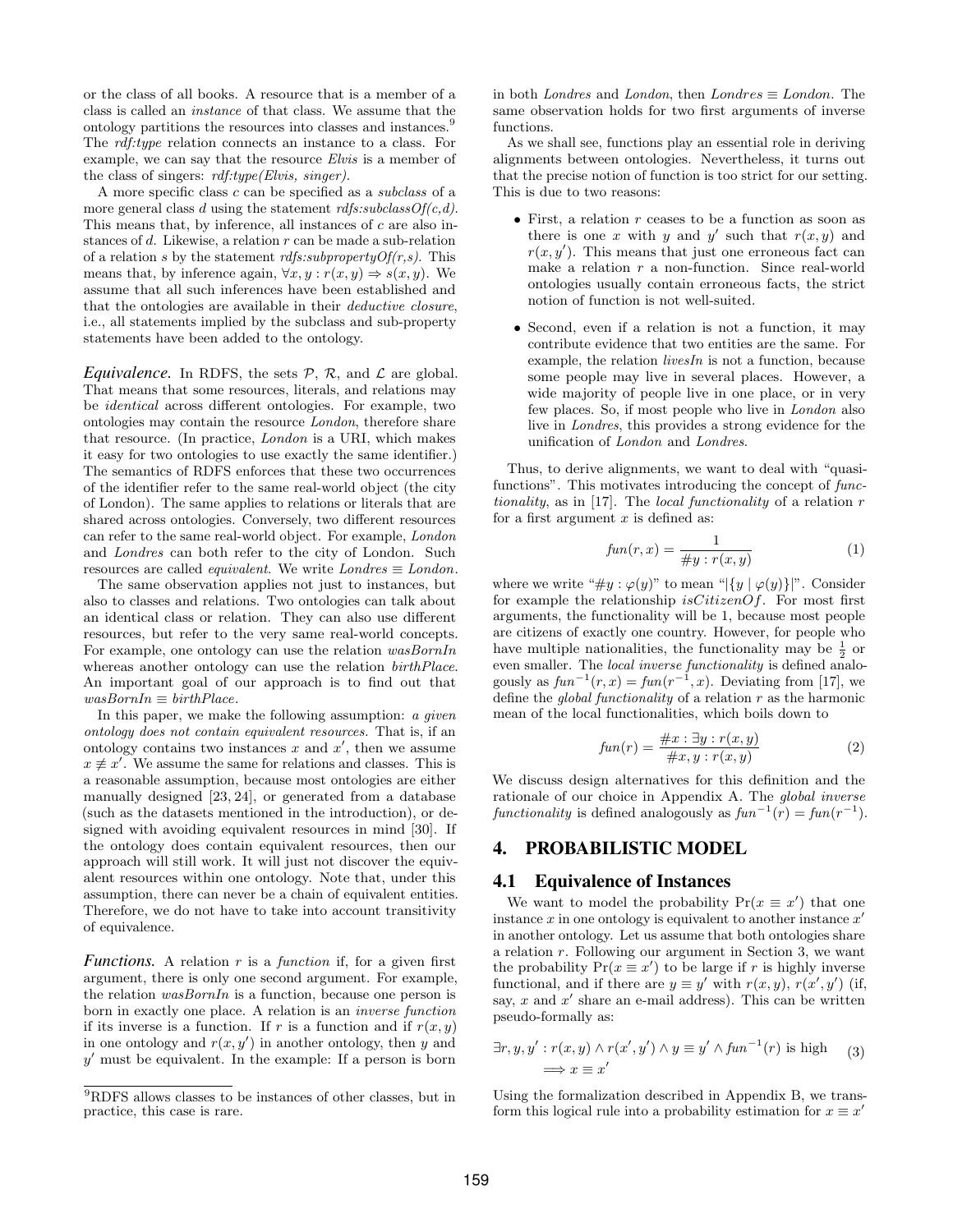or the class of all books. A resource that is a member of a class is called an instance of that class. We assume that the ontology partitions the resources into classes and instances.<sup>9</sup> The rdf:type relation connects an instance to a class. For example, we can say that the resource Elvis is a member of the class of singers: rdf:type(Elvis, singer).

A more specific class c can be specified as a subclass of a more general class d using the statement  $rdfs:subclassOf(c,d)$ . This means that, by inference, all instances of  $c$  are also instances of  $d$ . Likewise, a relation  $r$  can be made a sub-relation of a relation s by the statement  $rdfs:subpropertyOf(r,s)$ . This means that, by inference again,  $\forall x, y : r(x, y) \Rightarrow s(x, y)$ . We assume that all such inferences have been established and that the ontologies are available in their deductive closure, i.e., all statements implied by the subclass and sub-property statements have been added to the ontology.

*Equivalence.* In RDFS, the sets  $P$ ,  $R$ , and  $\mathcal{L}$  are global. That means that some resources, literals, and relations may be identical across different ontologies. For example, two ontologies may contain the resource London, therefore share that resource. (In practice, London is a URI, which makes it easy for two ontologies to use exactly the same identifier.) The semantics of RDFS enforces that these two occurrences of the identifier refer to the same real-world object (the city of London). The same applies to relations or literals that are shared across ontologies. Conversely, two different resources can refer to the same real-world object. For example, London and Londres can both refer to the city of London. Such resources are called *equivalent*. We write  $Londres \equiv London$ .

The same observation applies not just to instances, but also to classes and relations. Two ontologies can talk about an identical class or relation. They can also use different resources, but refer to the very same real-world concepts. For example, one ontology can use the relation  $wasBornIn$ whereas another ontology can use the relation  $birthPlace$ . An important goal of our approach is to find out that  $wasBornIn \equiv birthPlace.$ 

In this paper, we make the following assumption: a *given* ontology does not contain equivalent resources. That is, if an ontology contains two instances  $x$  and  $x'$ , then we assume  $x \neq x'$ . We assume the same for relations and classes. This is a reasonable assumption, because most ontologies are either manually designed [23, 24], or generated from a database (such as the datasets mentioned in the introduction), or designed with avoiding equivalent resources in mind [30]. If the ontology does contain equivalent resources, then our approach will still work. It will just not discover the equivalent resources within one ontology. Note that, under this assumption, there can never be a chain of equivalent entities. Therefore, we do not have to take into account transitivity of equivalence.

*Functions.* A relation  $r$  is a *function* if, for a given first argument, there is only one second argument. For example, the relation  $wasBornIn$  is a function, because one person is born in exactly one place. A relation is an inverse function if its inverse is a function. If r is a function and if  $r(x, y)$ in one ontology and  $r(x, y')$  in another ontology, then y and  $y'$  must be equivalent. In the example: If a person is born

in both Londres and London, then  $Londres \equiv London$ . The same observation holds for two first arguments of inverse functions.

As we shall see, functions play an essential role in deriving alignments between ontologies. Nevertheless, it turns out that the precise notion of function is too strict for our setting. This is due to two reasons:

- First, a relation  $r$  ceases to be a function as soon as there is one x with y and y' such that  $r(x, y)$  and  $r(x, y')$ . This means that just one erroneous fact can make a relation  $\boldsymbol{r}$  a non-function. Since real-world ontologies usually contain erroneous facts, the strict notion of function is not well-suited.
- Second, even if a relation is not a function, it may contribute evidence that two entities are the same. For example, the relation livesIn is not a function, because some people may live in several places. However, a wide majority of people live in one place, or in very few places. So, if most people who live in London also live in Londres, this provides a strong evidence for the unification of London and Londres.

Thus, to derive alignments, we want to deal with "quasifunctions". This motivates introducing the concept of functionality, as in [17]. The local functionality of a relation  $r$ for a first argument  $x$  is defined as:

$$
fun(r,x) = \frac{1}{\#y : r(x,y)}
$$
\n<sup>(1)</sup>

where we write " $\#y : \varphi(y)$ " to mean " $\{y \mid \varphi(y)\}$ ". Consider for example the relationship  $isCitizenOf$ . For most first arguments, the functionality will be 1, because most people are citizens of exactly one country. However, for people who have multiple nationalities, the functionality may be  $\frac{1}{2}$  or even smaller. The *local inverse functionality* is defined analogously as  $fun^{-1}(r, x) = \text{fun}(r^{-1}, x)$ . Deviating from [17], we define the *global functionality* of a relation  $r$  as the harmonic mean of the local functionalities, which boils down to

$$
fun(r) = \frac{\#x : \exists y : r(x, y)}{\#x, y : r(x, y)}
$$
\n
$$
(2)
$$

We discuss design alternatives for this definition and the rationale of our choice in Appendix A. The global inverse functionality is defined analogously as  $fun^{-1}(r) = \text{fun}(r^{-1})$ .

# 4. PROBABILISTIC MODEL

## 4.1 Equivalence of Instances

We want to model the probability  $Pr(x \equiv x')$  that one instance  $x$  in one ontology is equivalent to another instance  $x'$ in another ontology. Let us assume that both ontologies share a relation r. Following our argument in Section 3, we want the probability  $Pr(x \equiv x')$  to be large if r is highly inverse functional, and if there are  $y \equiv y'$  with  $r(x, y)$ ,  $r(x', y')$  (if, say, x and  $x'$  share an e-mail address). This can be written pseudo-formally as:

$$
\exists r, y, y' : r(x, y) \land r(x', y') \land y \equiv y' \land fun^{-1}(r) \text{ is high} \quad (3)
$$

$$
\implies x \equiv x'
$$

Using the formalization described in Appendix B, we transform this logical rule into a probability estimation for  $x \equiv x'$ 

 $^{9}\rm{RDFS}$  allows classes to be instances of other classes, but in practice, this case is rare.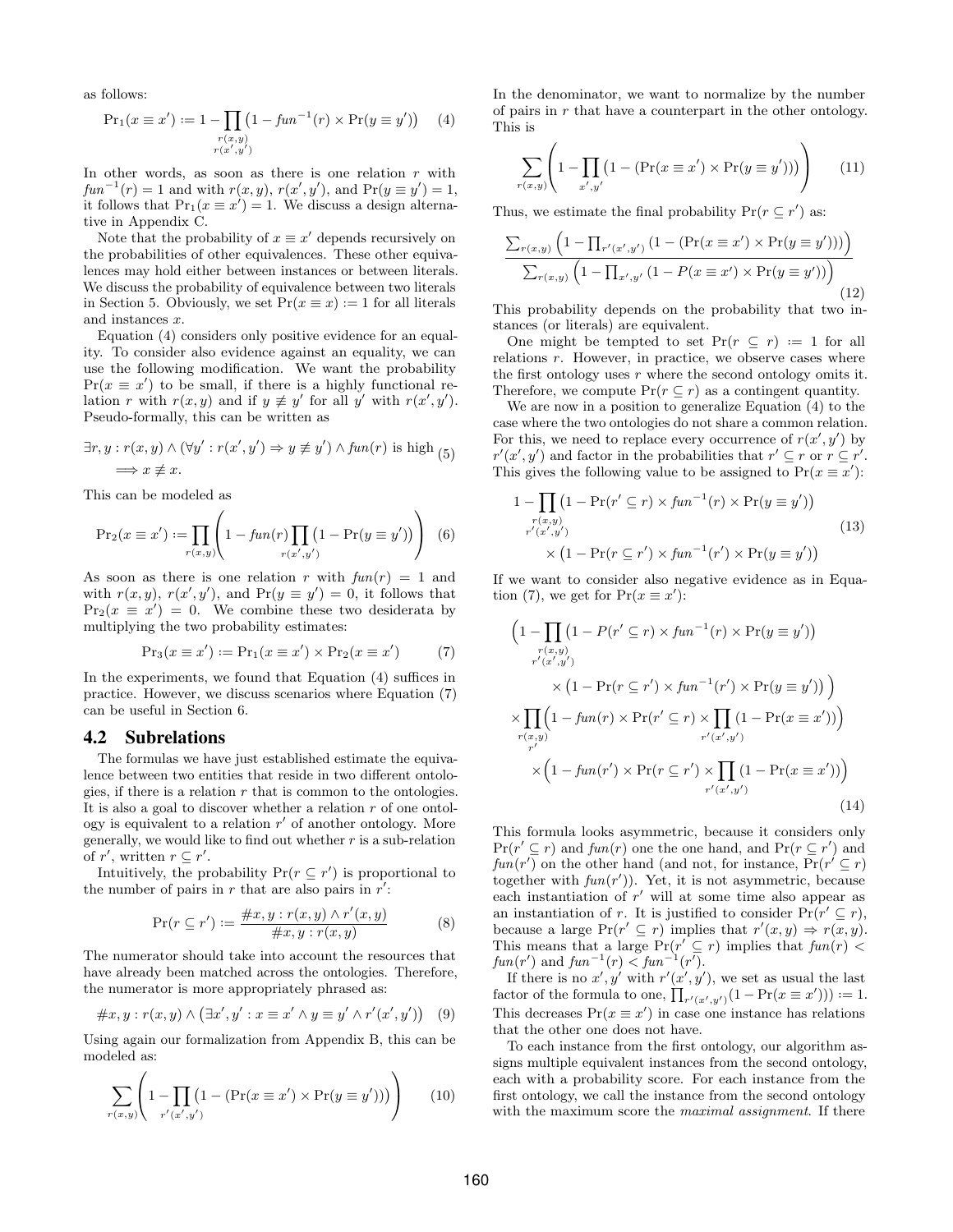as follows:

$$
\Pr_1(x \equiv x') := 1 - \prod_{\substack{r(x,y) \\ r(x',y')}} (1 - \text{fun}^{-1}(r) \times \Pr(y \equiv y')) \tag{4}
$$

In other words, as soon as there is one relation  $r$  with  $fun^{-1}(r) = 1$  and with  $r(x, y), r(x', y'),$  and  $Pr(y \equiv y') = 1$ , it follows that  $Pr_1(x \equiv x') = 1$ . We discuss a design alternative in Appendix C.

Note that the probability of  $x \equiv x'$  depends recursively on the probabilities of other equivalences. These other equivalences may hold either between instances or between literals. We discuss the probability of equivalence between two literals in Section 5. Obviously, we set  $Pr(x \equiv x) := 1$  for all literals and instances x.

Equation (4) considers only positive evidence for an equality. To consider also evidence against an equality, we can use the following modification. We want the probability  $Pr(x \equiv x')$  to be small, if there is a highly functional relation r with  $r(x, y)$  and if  $y \not\equiv y'$  for all y' with  $r(x', y')$ . Pseudo-formally, this can be written as

$$
\exists r, y : r(x, y) \land (\forall y' : r(x', y') \Rightarrow y \not\equiv y') \land fun(r) \text{ is high } (5)
$$

$$
\implies x \not\equiv x.
$$

This can be modeled as

$$
\Pr_2(x \equiv x') := \prod_{r(x,y)} \left( 1 - \text{fun}(r) \prod_{r(x',y')} (1 - \Pr(y \equiv y')) \right) \tag{6}
$$

As soon as there is one relation r with  $fun(r) = 1$  and with  $r(x, y)$ ,  $r(x', y')$ , and  $Pr(y \equiv y') = 0$ , it follows that  $Pr_2(x \equiv x') = 0$ . We combine these two desiderate by multiplying the two probability estimates:

$$
Pr_3(x \equiv x') := Pr_1(x \equiv x') \times Pr_2(x \equiv x')
$$
 (7)

In the experiments, we found that Equation (4) suffices in practice. However, we discuss scenarios where Equation (7) can be useful in Section 6.

## 4.2 Subrelations

The formulas we have just established estimate the equivalence between two entities that reside in two different ontologies, if there is a relation  $r$  that is common to the ontologies. It is also a goal to discover whether a relation r of one ontology is equivalent to a relation  $r'$  of another ontology. More generally, we would like to find out whether  $r$  is a sub-relation of r', written  $r \subseteq r'$ .

Intuitively, the probability  $Pr(r \subseteq r')$  is proportional to the number of pairs in  $r$  that are also pairs in  $r'$ :

$$
\Pr(r \subseteq r') := \frac{\#x, y : r(x, y) \wedge r'(x, y)}{\#x, y : r(x, y)}
$$
(8)

The numerator should take into account the resources that have already been matched across the ontologies. Therefore, the numerator is more appropriately phrased as:

$$
\#x, y : r(x, y) \wedge (\exists x', y' : x \equiv x' \wedge y \equiv y' \wedge r'(x', y')) \quad (9)
$$

Using again our formalization from Appendix B, this can be modeled as:

$$
\sum_{r(x,y)} \left( 1 - \prod_{r'(x',y')} (1 - (\Pr(x \equiv x') \times \Pr(y \equiv y'))) \right) \tag{10}
$$

In the denominator, we want to normalize by the number of pairs in  $r$  that have a counterpart in the other ontology. This is

$$
\sum_{r(x,y)} \left( 1 - \prod_{x',y'} \left( 1 - (\Pr(x \equiv x') \times \Pr(y \equiv y')) \right) \right) \tag{11}
$$

Thus, we estimate the final probability  $Pr(r \subseteq r')$  as:

$$
\frac{\sum_{r(x,y)} \left(1 - \prod_{r'(x',y')} (1 - (\Pr(x \equiv x') \times \Pr(y \equiv y')))\right)}{\sum_{r(x,y)} \left(1 - \prod_{x',y'} (1 - P(x \equiv x') \times \Pr(y \equiv y'))\right)}
$$
\n(12)

This probability depends on the probability that two instances (or literals) are equivalent.

One might be tempted to set  $Pr(r \subseteq r) := 1$  for all relations  $r$ . However, in practice, we observe cases where the first ontology uses  $r$  where the second ontology omits it. Therefore, we compute  $Pr(r \subseteq r)$  as a contingent quantity.

We are now in a position to generalize Equation (4) to the case where the two ontologies do not share a common relation. For this, we need to replace every occurrence of  $r(x', y')$  by  $r'(x', y')$  and factor in the probabilities that  $r' \subseteq r$  or  $r \subseteq r'$ . This gives the following value to be assigned to  $Pr(x \equiv x')$ :

$$
1 - \prod_{\substack{r(x,y) \\ r'(x',y')}} (1 - \Pr(r' \subseteq r) \times fun^{-1}(r) \times \Pr(y \equiv y'))
$$
  
 
$$
\times (1 - \Pr(r \subseteq r') \times fun^{-1}(r') \times \Pr(y \equiv y'))
$$
 (13)

If we want to consider also negative evidence as in Equation (7), we get for  $Pr(x \equiv x')$ :

$$
\left(1 - \prod_{\substack{r(x,y) \\ r'(x',y')}} (1 - P(r' \subseteq r) \times fun^{-1}(r) \times \Pr(y \equiv y'))\right)
$$
  
 
$$
\times \left(1 - \Pr(r \subseteq r') \times fun^{-1}(r') \times \Pr(y \equiv y'))\right)
$$
  
 
$$
\times \prod_{\substack{r(x,y) \\ r'(x',y')}} (1 - fun(r) \times \Pr(r' \subseteq r) \times \prod_{r'(x',y')} (1 - \Pr(x \equiv x')))\right)
$$
  
 
$$
\times \left(1 - fun(r') \times \Pr(r \subseteq r') \times \prod_{r'(x',y')} (1 - \Pr(x \equiv x'))\right)
$$
  
(14)

This formula looks asymmetric, because it considers only  $Pr(r' \subseteq r)$  and  $fun(r)$  one the one hand, and  $Pr(r \subseteq r')$  and  $fun(r')$  on the other hand (and not, for instance,  $Pr(r' \subseteq r)$ ) together with  $fun(r')$ ). Yet, it is not asymmetric, because each instantiation of  $r'$  will at some time also appear as an instantiation of r. It is justified to consider  $Pr(r' \subseteq r)$ , because a large  $Pr(r' \subseteq r)$  implies that  $r'(x, y) \Rightarrow r(x, y)$ . This means that a large  $Pr(r' \subseteq r)$  implies that  $fun(r) < \text{fun}(r')$  and  $fun^{-1}(r) < \text{fun}^{-1}(r')$ .

If there is no  $x', y'$  with  $r'(x', y')$ , we set as usual the last factor of the formula to one,  $\prod_{r'(x',y')}(1 - \Pr(x \equiv x')) := 1.$ This decreases  $Pr(x \equiv x')$  in case one instance has relations that the other one does not have.

To each instance from the first ontology, our algorithm assigns multiple equivalent instances from the second ontology, each with a probability score. For each instance from the first ontology, we call the instance from the second ontology with the maximum score the *maximal assignment*. If there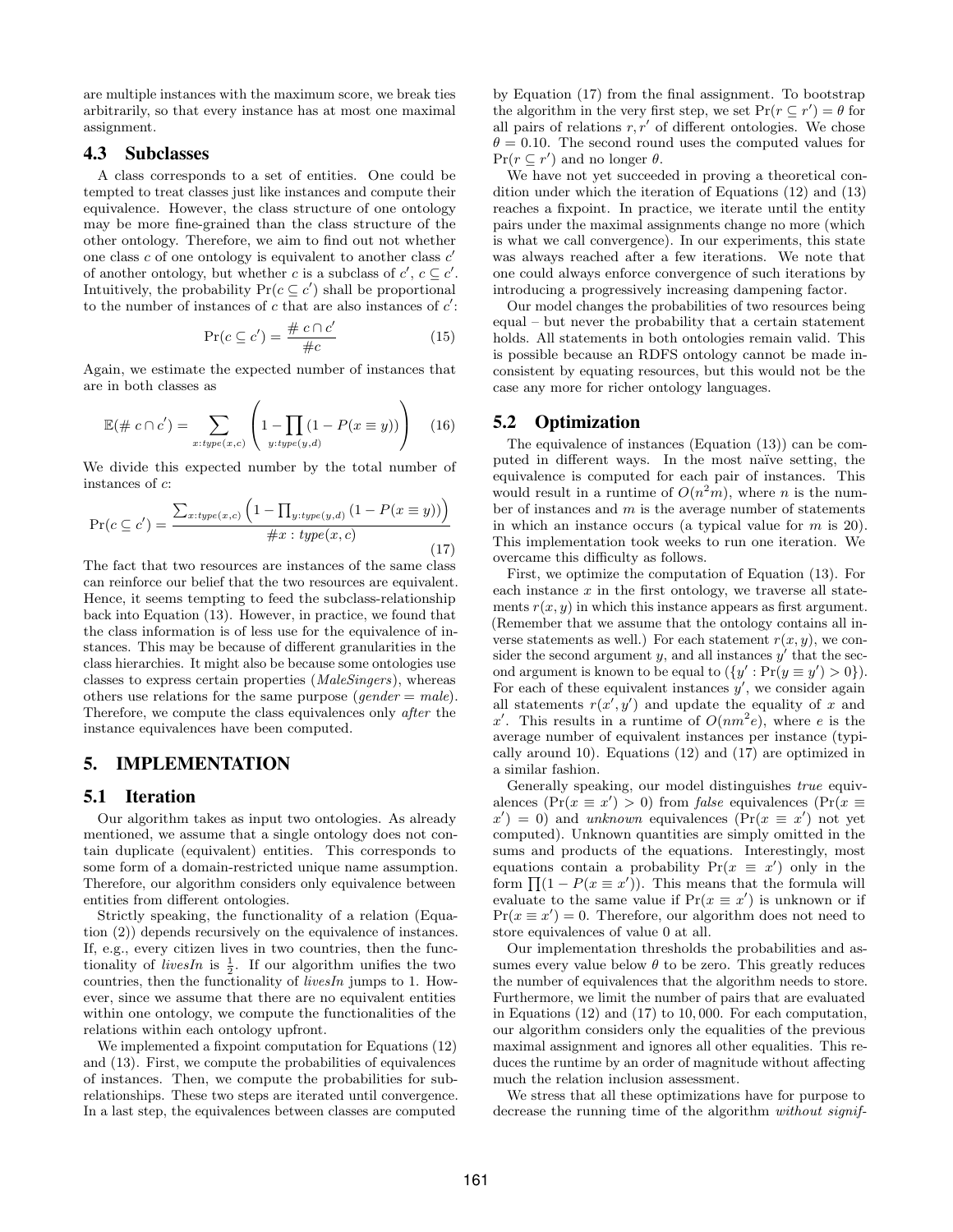are multiple instances with the maximum score, we break ties arbitrarily, so that every instance has at most one maximal assignment.

# 4.3 Subclasses

A class corresponds to a set of entities. One could be tempted to treat classes just like instances and compute their equivalence. However, the class structure of one ontology may be more fine-grained than the class structure of the other ontology. Therefore, we aim to find out not whether one class  $c$  of one ontology is equivalent to another class  $c'$ of another ontology, but whether c is a subclass of  $c', c \subseteq c'$ . Intuitively, the probability  $Pr(c \subseteq c')$  shall be proportional to the number of instances of  $c$  that are also instances of  $c'$ :

$$
\Pr(c \subseteq c') = \frac{\# \ c \cap c'}{\# c} \tag{15}
$$

Again, we estimate the expected number of instances that are in both classes as

$$
\mathbb{E}(\# c \cap c') = \sum_{x: type(x, c)} \left( 1 - \prod_{y: type(y, d)} (1 - P(x \equiv y)) \right) \tag{16}
$$

We divide this expected number by the total number of instances of c:

$$
Pr(c \subseteq c') = \frac{\sum_{x: type(x,c)} \left(1 - \prod_{y: type(y,d)} \left(1 - P(x \equiv y)\right)\right)}{\#x: type(x,c)}
$$
\n(17)

The fact that two resources are instances of the same class can reinforce our belief that the two resources are equivalent. Hence, it seems tempting to feed the subclass-relationship back into Equation (13). However, in practice, we found that the class information is of less use for the equivalence of instances. This may be because of different granularities in the class hierarchies. It might also be because some ontologies use classes to express certain properties (MaleSingers), whereas others use relations for the same purpose (gender  $= male$ ). Therefore, we compute the class equivalences only after the instance equivalences have been computed.

## 5. IMPLEMENTATION

## 5.1 Iteration

Our algorithm takes as input two ontologies. As already mentioned, we assume that a single ontology does not contain duplicate (equivalent) entities. This corresponds to some form of a domain-restricted unique name assumption. Therefore, our algorithm considers only equivalence between entities from different ontologies.

Strictly speaking, the functionality of a relation (Equation (2)) depends recursively on the equivalence of instances. If, e.g., every citizen lives in two countries, then the functionality of *livesIn* is  $\frac{1}{2}$ . If our algorithm unifies the two countries, then the functionality of livesIn jumps to 1. However, since we assume that there are no equivalent entities within one ontology, we compute the functionalities of the relations within each ontology upfront.

We implemented a fixpoint computation for Equations (12) and (13). First, we compute the probabilities of equivalences of instances. Then, we compute the probabilities for subrelationships. These two steps are iterated until convergence. In a last step, the equivalences between classes are computed

by Equation (17) from the final assignment. To bootstrap the algorithm in the very first step, we set  $Pr(r \subseteq r') = \theta$  for all pairs of relations  $r, r'$  of different ontologies. We chose  $\theta = 0.10$ . The second round uses the computed values for  $\Pr(r \subseteq r')$  and no longer  $\theta$ .

We have not yet succeeded in proving a theoretical condition under which the iteration of Equations (12) and (13) reaches a fixpoint. In practice, we iterate until the entity pairs under the maximal assignments change no more (which is what we call convergence). In our experiments, this state was always reached after a few iterations. We note that one could always enforce convergence of such iterations by introducing a progressively increasing dampening factor.

Our model changes the probabilities of two resources being equal – but never the probability that a certain statement holds. All statements in both ontologies remain valid. This is possible because an RDFS ontology cannot be made inconsistent by equating resources, but this would not be the case any more for richer ontology languages.

#### 5.2 Optimization

The equivalence of instances (Equation (13)) can be computed in different ways. In the most na¨ıve setting, the equivalence is computed for each pair of instances. This would result in a runtime of  $O(n^2m)$ , where *n* is the number of instances and  $m$  is the average number of statements in which an instance occurs (a typical value for  $m$  is 20). This implementation took weeks to run one iteration. We overcame this difficulty as follows.

First, we optimize the computation of Equation (13). For each instance  $x$  in the first ontology, we traverse all statements  $r(x, y)$  in which this instance appears as first argument. (Remember that we assume that the ontology contains all inverse statements as well.) For each statement  $r(x, y)$ , we consider the second argument  $y$ , and all instances  $y'$  that the second argument is known to be equal to  $({y', \text{Pr}(y \equiv y') > 0}).$ For each of these equivalent instances  $y'$ , we consider again all statements  $r(x', y')$  and update the equality of x and x'. This results in a runtime of  $O(nm^2e)$ , where e is the average number of equivalent instances per instance (typically around 10). Equations (12) and (17) are optimized in a similar fashion.

Generally speaking, our model distinguishes true equivalences (Pr( $x \equiv x'$ ) > 0) from *false* equivalences (Pr( $x \equiv x'$ )  $(x') = 0$  and unknown equivalences (Pr( $x \equiv x'$ ) not yet computed). Unknown quantities are simply omitted in the sums and products of the equations. Interestingly, most equations contain a probability  $Pr(x \equiv x')$  only in the form  $\prod (1 - P(x \equiv x'))$ . This means that the formula will evaluate to the same value if  $Pr(x \equiv x')$  is unknown or if  $Pr(x \equiv x') = 0$ . Therefore, our algorithm does not need to store equivalences of value 0 at all.

Our implementation thresholds the probabilities and assumes every value below  $\theta$  to be zero. This greatly reduces the number of equivalences that the algorithm needs to store. Furthermore, we limit the number of pairs that are evaluated in Equations (12) and (17) to 10, 000. For each computation, our algorithm considers only the equalities of the previous maximal assignment and ignores all other equalities. This reduces the runtime by an order of magnitude without affecting much the relation inclusion assessment.

We stress that all these optimizations have for purpose to decrease the running time of the algorithm without signif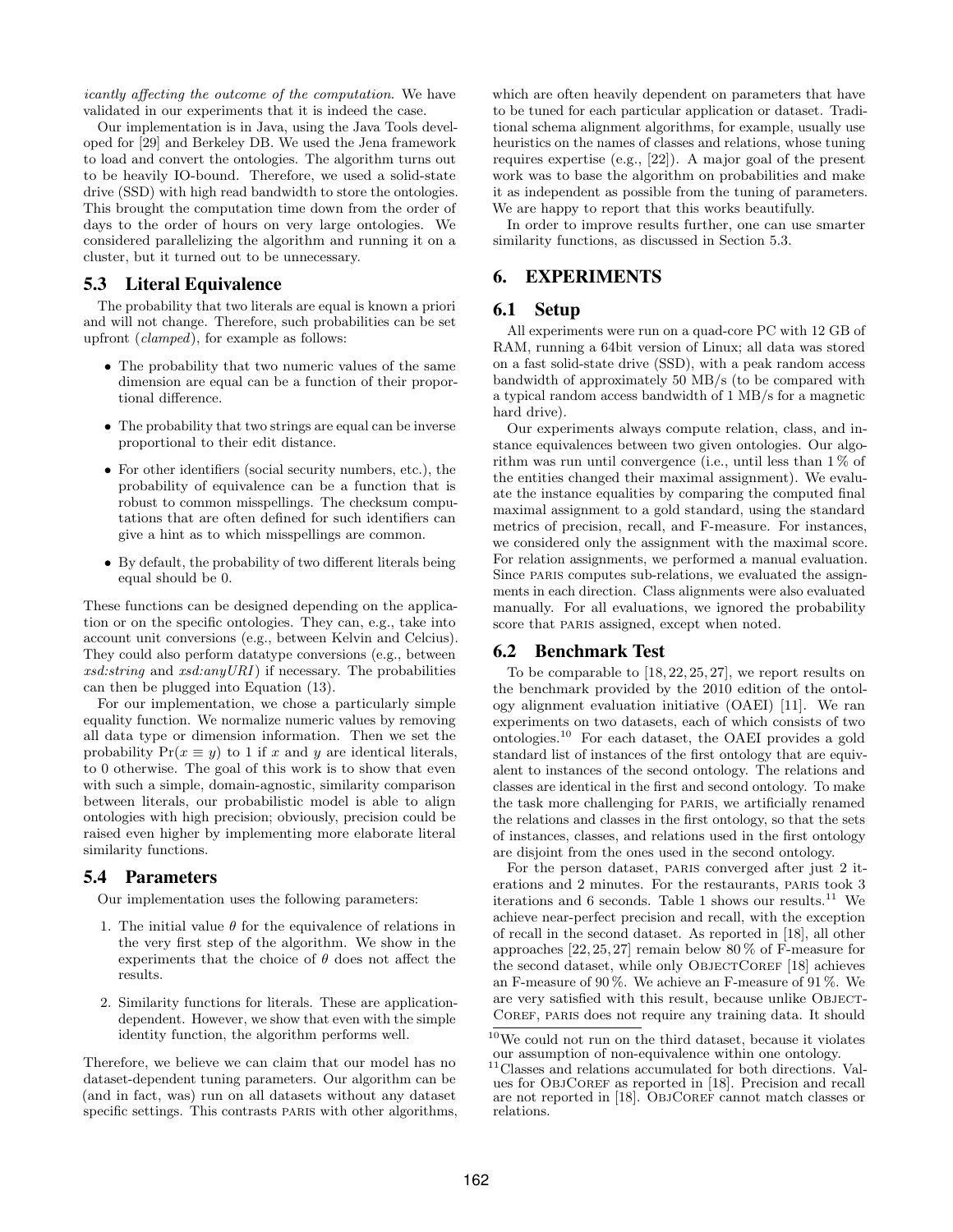icantly affecting the outcome of the computation. We have validated in our experiments that it is indeed the case.

Our implementation is in Java, using the Java Tools developed for [29] and Berkeley DB. We used the Jena framework to load and convert the ontologies. The algorithm turns out to be heavily IO-bound. Therefore, we used a solid-state drive (SSD) with high read bandwidth to store the ontologies. This brought the computation time down from the order of days to the order of hours on very large ontologies. We considered parallelizing the algorithm and running it on a cluster, but it turned out to be unnecessary.

## 5.3 Literal Equivalence

The probability that two literals are equal is known a priori and will not change. Therefore, such probabilities can be set upfront (clamped), for example as follows:

- The probability that two numeric values of the same dimension are equal can be a function of their proportional difference.
- The probability that two strings are equal can be inverse proportional to their edit distance.
- For other identifiers (social security numbers, etc.), the probability of equivalence can be a function that is robust to common misspellings. The checksum computations that are often defined for such identifiers can give a hint as to which misspellings are common.
- By default, the probability of two different literals being equal should be 0.

These functions can be designed depending on the application or on the specific ontologies. They can, e.g., take into account unit conversions (e.g., between Kelvin and Celcius). They could also perform datatype conversions (e.g., between  $xsd:string$  and  $xsd:anyURI$  if necessary. The probabilities can then be plugged into Equation (13).

For our implementation, we chose a particularly simple equality function. We normalize numeric values by removing all data type or dimension information. Then we set the probability  $Pr(x \equiv y)$  to 1 if x and y are identical literals, to 0 otherwise. The goal of this work is to show that even with such a simple, domain-agnostic, similarity comparison between literals, our probabilistic model is able to align ontologies with high precision; obviously, precision could be raised even higher by implementing more elaborate literal similarity functions.

# 5.4 Parameters

Our implementation uses the following parameters:

- 1. The initial value  $\theta$  for the equivalence of relations in the very first step of the algorithm. We show in the experiments that the choice of  $\theta$  does not affect the results.
- 2. Similarity functions for literals. These are applicationdependent. However, we show that even with the simple identity function, the algorithm performs well.

Therefore, we believe we can claim that our model has no dataset-dependent tuning parameters. Our algorithm can be (and in fact, was) run on all datasets without any dataset specific settings. This contrasts PARIS with other algorithms, which are often heavily dependent on parameters that have to be tuned for each particular application or dataset. Traditional schema alignment algorithms, for example, usually use heuristics on the names of classes and relations, whose tuning requires expertise (e.g., [22]). A major goal of the present work was to base the algorithm on probabilities and make it as independent as possible from the tuning of parameters. We are happy to report that this works beautifully.

In order to improve results further, one can use smarter similarity functions, as discussed in Section 5.3.

# 6. EXPERIMENTS

## 6.1 Setup

All experiments were run on a quad-core PC with 12 GB of RAM, running a 64bit version of Linux; all data was stored on a fast solid-state drive (SSD), with a peak random access bandwidth of approximately 50 MB/s (to be compared with a typical random access bandwidth of 1 MB/s for a magnetic hard drive).

Our experiments always compute relation, class, and instance equivalences between two given ontologies. Our algorithm was run until convergence (i.e., until less than 1 % of the entities changed their maximal assignment). We evaluate the instance equalities by comparing the computed final maximal assignment to a gold standard, using the standard metrics of precision, recall, and F-measure. For instances, we considered only the assignment with the maximal score. For relation assignments, we performed a manual evaluation. Since paris computes sub-relations, we evaluated the assignments in each direction. Class alignments were also evaluated manually. For all evaluations, we ignored the probability score that PARIS assigned, except when noted.

## 6.2 Benchmark Test

To be comparable to [18, 22, 25, 27], we report results on the benchmark provided by the 2010 edition of the ontology alignment evaluation initiative (OAEI) [11]. We ran experiments on two datasets, each of which consists of two ontologies.<sup>10</sup> For each dataset, the OAEI provides a gold standard list of instances of the first ontology that are equivalent to instances of the second ontology. The relations and classes are identical in the first and second ontology. To make the task more challenging for paris, we artificially renamed the relations and classes in the first ontology, so that the sets of instances, classes, and relations used in the first ontology are disjoint from the ones used in the second ontology.

For the person dataset, PARIS converged after just 2 iterations and 2 minutes. For the restaurants, paris took 3 iterations and 6 seconds. Table 1 shows our results.<sup>11</sup> We achieve near-perfect precision and recall, with the exception of recall in the second dataset. As reported in [18], all other approaches [22, 25, 27] remain below 80 % of F-measure for the second dataset, while only OBJECTCOREF [18] achieves an F-measure of 90 %. We achieve an F-measure of 91 %. We are very satisfied with this result, because unlike Object-COREF, PARIS does not require any training data. It should

 $10$ We could not run on the third dataset, because it violates our assumption of non-equivalence within one ontology.

<sup>11</sup>Classes and relations accumulated for both directions. Values for ObjCoref as reported in [18]. Precision and recall are not reported in [18]. ObjCoref cannot match classes or relations.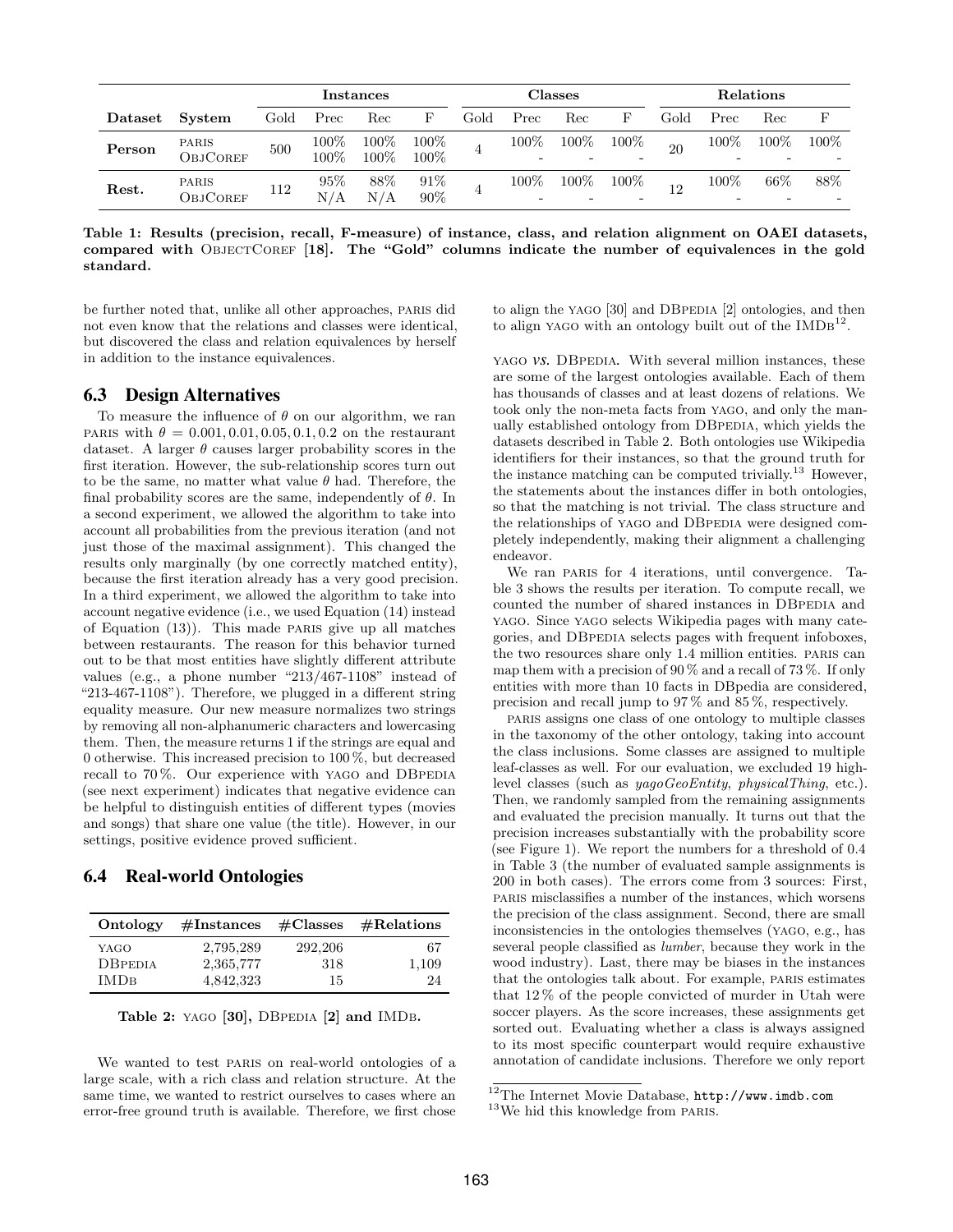|         |                                 |      |                 | Instances          |                  | Classes |         |         |         | Relations |              |              |         |  |
|---------|---------------------------------|------|-----------------|--------------------|------------------|---------|---------|---------|---------|-----------|--------------|--------------|---------|--|
| Dataset | System                          | Gold | Prec            | Rec                |                  | Gold    | Prec    | Rec     | F       | Gold      | Prec         | Rec          |         |  |
| Person  | PARIS<br>OBJCOREF               | 500  | $100\%$<br>100% | $100\%$<br>$100\%$ | $100\%$<br>100\% |         | $100\%$ | $100\%$ | $100\%$ | 20        | $100\%$<br>- | $100\%$<br>- | $100\%$ |  |
| Rest.   | <b>PARIS</b><br><b>OBJCOREF</b> | 112  | 95%<br>N/A      | 88\%<br>N/A        | 91%<br>90%       |         | $100\%$ | 100\%   | $100\%$ | 12        | $100\%$<br>- | 66\%<br>-    | 88\%    |  |

Table 1: Results (precision, recall, F-measure) of instance, class, and relation alignment on OAEI datasets, compared with OBJECTCOREF [18]. The "Gold" columns indicate the number of equivalences in the gold standard.

be further noted that, unlike all other approaches, paris did not even know that the relations and classes were identical, but discovered the class and relation equivalences by herself in addition to the instance equivalences.

## 6.3 Design Alternatives

To measure the influence of  $\theta$  on our algorithm, we ran PARIS with  $\theta = 0.001, 0.01, 0.05, 0.1, 0.2$  on the restaurant dataset. A larger  $\theta$  causes larger probability scores in the first iteration. However, the sub-relationship scores turn out to be the same, no matter what value  $\theta$  had. Therefore, the final probability scores are the same, independently of  $\theta$ . In a second experiment, we allowed the algorithm to take into account all probabilities from the previous iteration (and not just those of the maximal assignment). This changed the results only marginally (by one correctly matched entity), because the first iteration already has a very good precision. In a third experiment, we allowed the algorithm to take into account negative evidence (i.e., we used Equation (14) instead of Equation (13)). This made paris give up all matches between restaurants. The reason for this behavior turned out to be that most entities have slightly different attribute values (e.g., a phone number "213/467-1108" instead of "213-467-1108"). Therefore, we plugged in a different string equality measure. Our new measure normalizes two strings by removing all non-alphanumeric characters and lowercasing them. Then, the measure returns 1 if the strings are equal and 0 otherwise. This increased precision to 100 %, but decreased recall to  $70\%$ . Our experience with YAGO and DBPEDIA (see next experiment) indicates that negative evidence can be helpful to distinguish entities of different types (movies and songs) that share one value (the title). However, in our settings, positive evidence proved sufficient.

## 6.4 Real-world Ontologies

| Ontology       | $\#\text{Instantes}$ $\#\text{Classes}$ $\#\text{Relations}$ |         |       |
|----------------|--------------------------------------------------------------|---------|-------|
| YAGO           | 2,795,289                                                    | 292,206 | 67    |
| <b>DBPEDIA</b> | 2,365,777                                                    | 318     | 1,109 |
| <b>IMDB</b>    | 4.842.323                                                    | 15      | 24    |

| Table 2: YAGO $[30]$ , DBPEDIA $[2]$ and IMDB. |  |  |  |  |
|------------------------------------------------|--|--|--|--|
|------------------------------------------------|--|--|--|--|

We wanted to test PARIS on real-world ontologies of a large scale, with a rich class and relation structure. At the same time, we wanted to restrict ourselves to cases where an error-free ground truth is available. Therefore, we first chose to align the YAGO [30] and DBPEDIA [2] ontologies, and then to align YAGO with an ontology built out of the  $IMDB<sup>12</sup>$ .

YAGO VS. DBPEDIA. With several million instances, these are some of the largest ontologies available. Each of them has thousands of classes and at least dozens of relations. We took only the non-meta facts from yago, and only the manually established ontology from DBPEDIA, which yields the datasets described in Table 2. Both ontologies use Wikipedia identifiers for their instances, so that the ground truth for the instance matching can be computed trivially.<sup>13</sup> However, the statements about the instances differ in both ontologies, so that the matching is not trivial. The class structure and the relationships of YAGO and DBPEDIA were designed completely independently, making their alignment a challenging endeavor.

We ran PARIS for 4 iterations, until convergence. Table 3 shows the results per iteration. To compute recall, we counted the number of shared instances in DBPEDIA and yago. Since yago selects Wikipedia pages with many categories, and DBPEDIA selects pages with frequent infoboxes, the two resources share only 1.4 million entities. paris can map them with a precision of 90 % and a recall of 73 %. If only entities with more than 10 facts in DBpedia are considered, precision and recall jump to 97 % and 85 %, respectively.

paris assigns one class of one ontology to multiple classes in the taxonomy of the other ontology, taking into account the class inclusions. Some classes are assigned to multiple leaf-classes as well. For our evaluation, we excluded 19 highlevel classes (such as yagoGeoEntity, physicalThing, etc.). Then, we randomly sampled from the remaining assignments and evaluated the precision manually. It turns out that the precision increases substantially with the probability score (see Figure 1). We report the numbers for a threshold of 0.4 in Table 3 (the number of evaluated sample assignments is 200 in both cases). The errors come from 3 sources: First, paris misclassifies a number of the instances, which worsens the precision of the class assignment. Second, there are small inconsistencies in the ontologies themselves (yago, e.g., has several people classified as lumber, because they work in the wood industry). Last, there may be biases in the instances that the ontologies talk about. For example, paris estimates that 12 % of the people convicted of murder in Utah were soccer players. As the score increases, these assignments get sorted out. Evaluating whether a class is always assigned to its most specific counterpart would require exhaustive annotation of candidate inclusions. Therefore we only report

<sup>12</sup>The Internet Movie Database, http://www.imdb.com

<sup>&</sup>lt;sup>13</sup>We hid this knowledge from PARIS.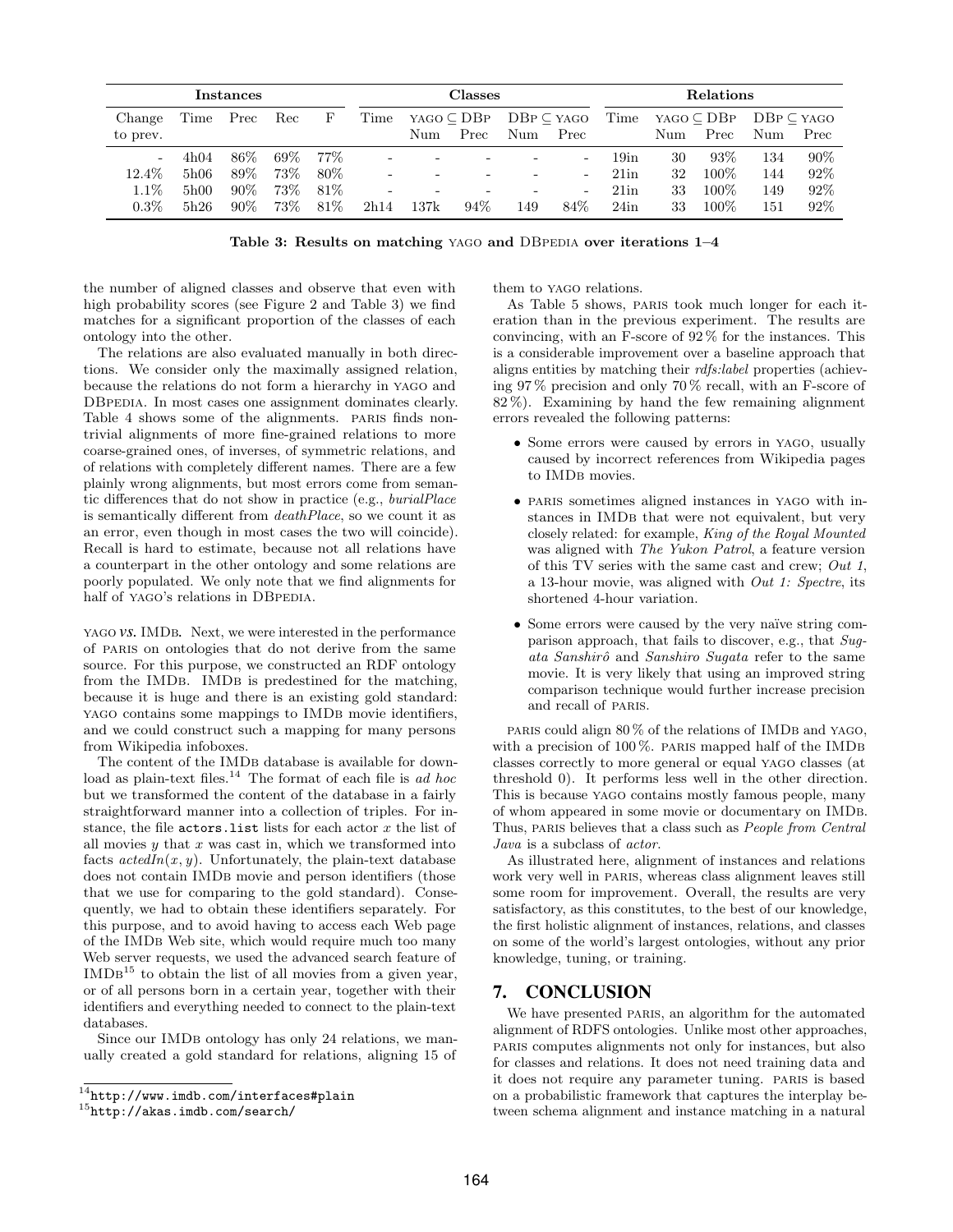|                             |                              | <b>Instances</b>                |                          |                                  | Classes        |                                   |     |                           |                                                  | <b>Relations</b>                   |                      |                                   |                                           |                          |  |
|-----------------------------|------------------------------|---------------------------------|--------------------------|----------------------------------|----------------|-----------------------------------|-----|---------------------------|--------------------------------------------------|------------------------------------|----------------------|-----------------------------------|-------------------------------------------|--------------------------|--|
| Change<br>to prev.          | Time                         | Prec                            | Rec                      | F                                | Time           | YAGO $\subset$ DBP<br>Prec<br>Num |     | DBP ⊂ YAGO<br>Num<br>Prec |                                                  | Time                               | Num                  | YAGO $\subset$ DBP<br>Prec        | $\text{DBP} \subseteq \text{YAGO}$<br>Num | Prec                     |  |
| $12.4\%$<br>1.1%<br>$0.3\%$ | 4h04<br>5h06<br>5h00<br>5h26 | 86\%<br>89%<br>$90\%$<br>$90\%$ | 69%<br>73%<br>73%<br>73% | $77\%$<br>$80\%$<br>81\%<br>81\% | -<br>-<br>2h14 | 137k                              | 94% | 149                       | $\overline{\phantom{0}}$<br>$\sim$<br>۰.<br>84\% | 19in<br>$21$ in<br>$21$ in<br>24in | 30<br>32<br>33<br>33 | 93%<br>$100\%$<br>100%<br>$100\%$ | 134<br>144<br>149<br>151                  | 90%<br>92%<br>92%<br>92% |  |

Table 3: Results on matching  $YAGO$  and DBPEDIA over iterations  $1-4$ 

the number of aligned classes and observe that even with high probability scores (see Figure 2 and Table 3) we find matches for a significant proportion of the classes of each ontology into the other.

The relations are also evaluated manually in both directions. We consider only the maximally assigned relation, because the relations do not form a hierarchy in yago and DBPEDIA. In most cases one assignment dominates clearly. Table 4 shows some of the alignments. paris finds nontrivial alignments of more fine-grained relations to more coarse-grained ones, of inverses, of symmetric relations, and of relations with completely different names. There are a few plainly wrong alignments, but most errors come from semantic differences that do not show in practice (e.g., burialPlace is semantically different from deathPlace, so we count it as an error, even though in most cases the two will coincide). Recall is hard to estimate, because not all relations have a counterpart in the other ontology and some relations are poorly populated. We only note that we find alignments for half of YAGO's relations in DBPEDIA.

YAGO VS. IMDB. Next, we were interested in the performance of paris on ontologies that do not derive from the same source. For this purpose, we constructed an RDF ontology from the IMDB. IMDB is predestined for the matching, because it is huge and there is an existing gold standard: YAGO contains some mappings to IMDB movie identifiers, and we could construct such a mapping for many persons from Wikipedia infoboxes.

The content of the IMDB database is available for download as plain-text files.<sup>14</sup> The format of each file is ad hoc but we transformed the content of the database in a fairly straightforward manner into a collection of triples. For instance, the file  $actors$ . list lists for each actor  $x$  the list of all movies  $y$  that  $x$  was cast in, which we transformed into facts  $\operatorname{actedIn}(x, y)$ . Unfortunately, the plain-text database does not contain IMDB movie and person identifiers (those that we use for comparing to the gold standard). Consequently, we had to obtain these identifiers separately. For this purpose, and to avoid having to access each Web page of the IMDB Web site, which would require much too many Web server requests, we used the advanced search feature of  $IMDB<sup>15</sup>$  to obtain the list of all movies from a given year, or of all persons born in a certain year, together with their identifiers and everything needed to connect to the plain-text databases.

Since our IMDB ontology has only 24 relations, we manually created a gold standard for relations, aligning 15 of them to yago relations.

As Table 5 shows, paris took much longer for each iteration than in the previous experiment. The results are convincing, with an F-score of  $92\%$  for the instances. This is a considerable improvement over a baseline approach that aligns entities by matching their rdfs:label properties (achieving 97 % precision and only 70 % recall, with an F-score of 82 %). Examining by hand the few remaining alignment errors revealed the following patterns:

- Some errors were caused by errors in yago, usually caused by incorrect references from Wikipedia pages to IMDB movies.
- paris sometimes aligned instances in yago with instances in IMD<sub>B</sub> that were not equivalent, but very closely related: for example, King of the Royal Mounted was aligned with The Yukon Patrol, a feature version of this TV series with the same cast and crew; Out 1, a 13-hour movie, was aligned with Out 1: Spectre, its shortened 4-hour variation.
- Some errors were caused by the very naïve string comparison approach, that fails to discover, e.g., that Sugata Sanshirô and Sanshiro Sugata refer to the same movie. It is very likely that using an improved string comparison technique would further increase precision and recall of paris.

PARIS could align  $80\%$  of the relations of IMDB and YAGO, with a precision of  $100\%$ . PARIS mapped half of the IMDB classes correctly to more general or equal yago classes (at threshold 0). It performs less well in the other direction. This is because yago contains mostly famous people, many of whom appeared in some movie or documentary on IMDb. Thus, PARIS believes that a class such as People from Central Java is a subclass of actor.

As illustrated here, alignment of instances and relations work very well in paris, whereas class alignment leaves still some room for improvement. Overall, the results are very satisfactory, as this constitutes, to the best of our knowledge, the first holistic alignment of instances, relations, and classes on some of the world's largest ontologies, without any prior knowledge, tuning, or training.

# 7. CONCLUSION

We have presented PARIS, an algorithm for the automated alignment of RDFS ontologies. Unlike most other approaches, paris computes alignments not only for instances, but also for classes and relations. It does not need training data and it does not require any parameter tuning. paris is based on a probabilistic framework that captures the interplay between schema alignment and instance matching in a natural

 $^{14}$ http://www.imdb.com/interfaces#plain

 $^{15}$ http://akas.imdb.com/search/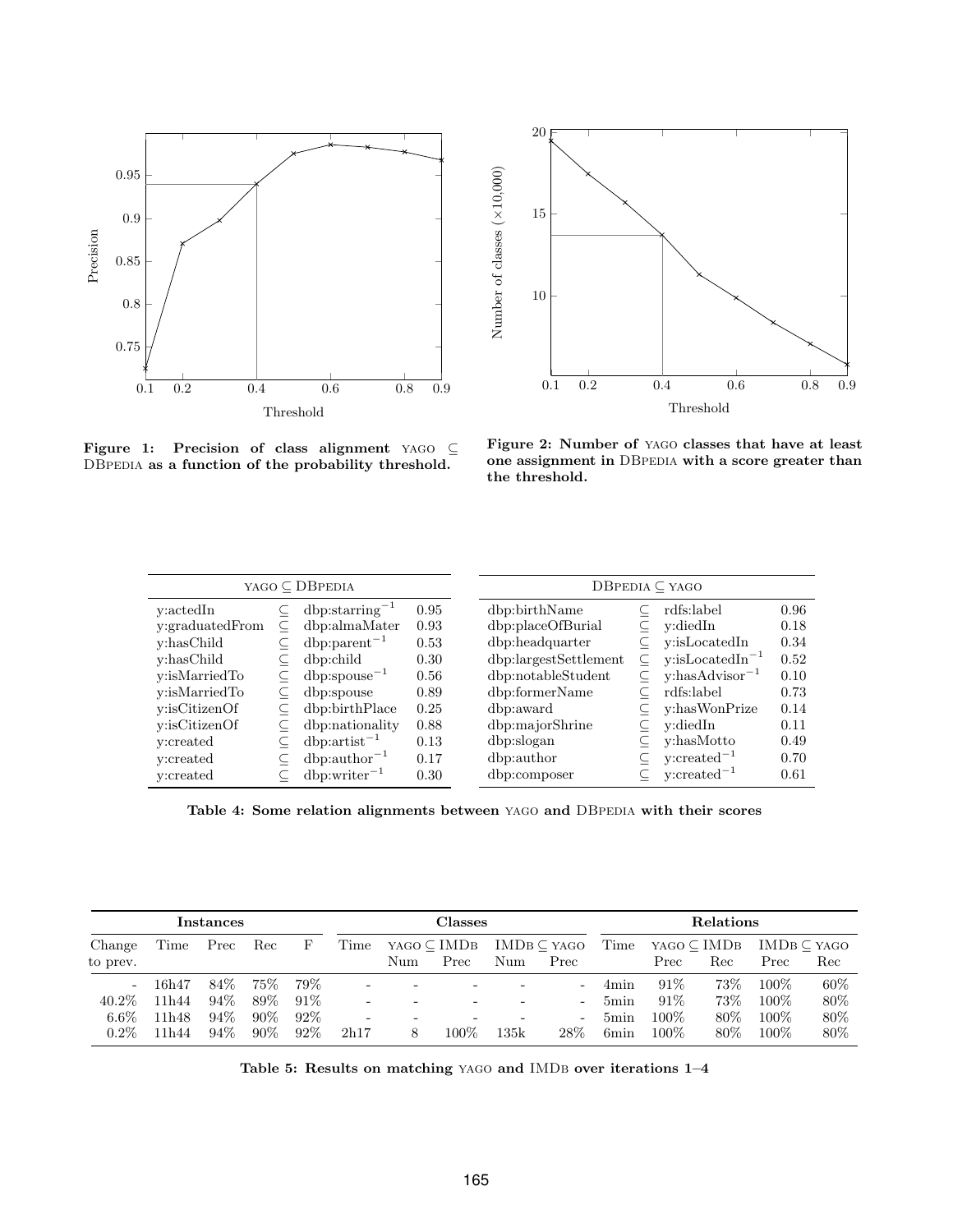

20 Number of classes  $(\times 10,000)$ Number of classes (×10,000) 15 10  $0.1 \t 0.2 \t 0.4 \t 0.6 \t 0.8 \t 0.9$ 0.2 0.4 0.6 0.8 Threshold

Figure 1: Precision of class alignment yago ⊆ DBPEDIA as a function of the probability threshold.

Figure 2: Number of yago classes that have at least one assignment in DBPEDIA with a score greater than the threshold.

|                 | $YAGO \subseteq DBPEDIA$    |      | DBPEDIA $\subset$ YAGO |   |                            |      |  |  |  |  |
|-----------------|-----------------------------|------|------------------------|---|----------------------------|------|--|--|--|--|
| v:actedIn       | $d_{\rm bp:starring}^{-1}$  | 0.95 | dbp:birthName          |   | rdfs:label                 | 0.96 |  |  |  |  |
| y:graduatedFrom | dbp:almaMater               | 0.93 | dbp:placeOfBurial      |   | v:diedIn                   | 0.18 |  |  |  |  |
| v:hasChild      | $db$ p:parent <sup>-1</sup> | 0.53 | dbp:headquarter        |   | y:isLocatedIn              | 0.34 |  |  |  |  |
| y:hasChild      | dbp:child                   | 0.30 | dbp:largestSettlement  | C | $v:isLocatedIn^{-1}$       | 0.52 |  |  |  |  |
| v:isMarriedTo   | $dbp:spouse^{-1}$           | 0.56 | dbp:notableStudent     | C | y:hasAdvisor <sup>-1</sup> | 0.10 |  |  |  |  |
| v:isMarriedTo   | dbp:spouse                  | 0.89 | dbp:formerName         |   | rdfs:label                 | 0.73 |  |  |  |  |
| y:isCitizenOf   | dbp:birthPlace              | 0.25 | dbp:award              |   | v:hasWonPrize              | 0.14 |  |  |  |  |
| y:isCitizenOf   | dbp:nationality             | 0.88 | dbp:majorShrine        |   | v:diedIn                   | 0.11 |  |  |  |  |
| y:created       | $db$ p:artist <sup>-1</sup> | 0.13 | dbp:slogan             |   | y:hasMotto                 | 0.49 |  |  |  |  |
| y:created       | $dbp:author^{-1}$           | 0.17 | dbp:author             |   | $v:created^{-1}$           | 0.70 |  |  |  |  |
| y:created       | $dbp:writer^{-1}$           | 0.30 | dbp:composer           |   | $v:created^{-1}$           | 0.61 |  |  |  |  |

Table 4: Some relation alignments between YAGO and DBPEDIA with their scores

|                          |       | <b>Instances</b> |     |        | Classes                  |                                    |      |                    |      |                  | <b>Relations</b> |                              |         |                              |  |
|--------------------------|-------|------------------|-----|--------|--------------------------|------------------------------------|------|--------------------|------|------------------|------------------|------------------------------|---------|------------------------------|--|
| Change                   | Time  | Prec             | Rec | F      | Time                     | YAGO $\subset$ IMDB<br>Prec<br>Num |      | IMDB ⊂ YAGO<br>Num |      | Time             | Prec             | $YAGO \subseteq IMDB$<br>Rec | Prec    | $IMDB \subseteq YAGO$<br>Rec |  |
| to prev.                 |       |                  |     |        |                          |                                    |      |                    | Prec |                  |                  |                              |         |                              |  |
| $\overline{\phantom{a}}$ | 16h47 | 84\%             | 75% | 79%    | $\overline{\phantom{a}}$ |                                    |      |                    | -    | 4min             | 91%              | 73%                          | 100%    | $60\%$                       |  |
| $40.2\%$                 | 11h44 | 94%              | 89% | 91%    | $\overline{\phantom{0}}$ |                                    |      |                    | -    | 5min             | 91%              | 73%                          | 100%    | $80\%$                       |  |
| $6.6\%$                  | 11h48 | 94%              | 90% | 92\%   |                          |                                    |      |                    | -    | 5min             | $100\%$          | 80\%                         | 100%    | $80\%$                       |  |
| $0.2\%$                  | 11h44 | 94%              | 90% | $92\%$ | 2h17                     | 8                                  | 100% | 135k               | 28\% | 6 <sub>min</sub> | 100%             | 80\%                         | $100\%$ | 80\%                         |  |

Table 5: Results on matching YAGO and IMDB over iterations 1-4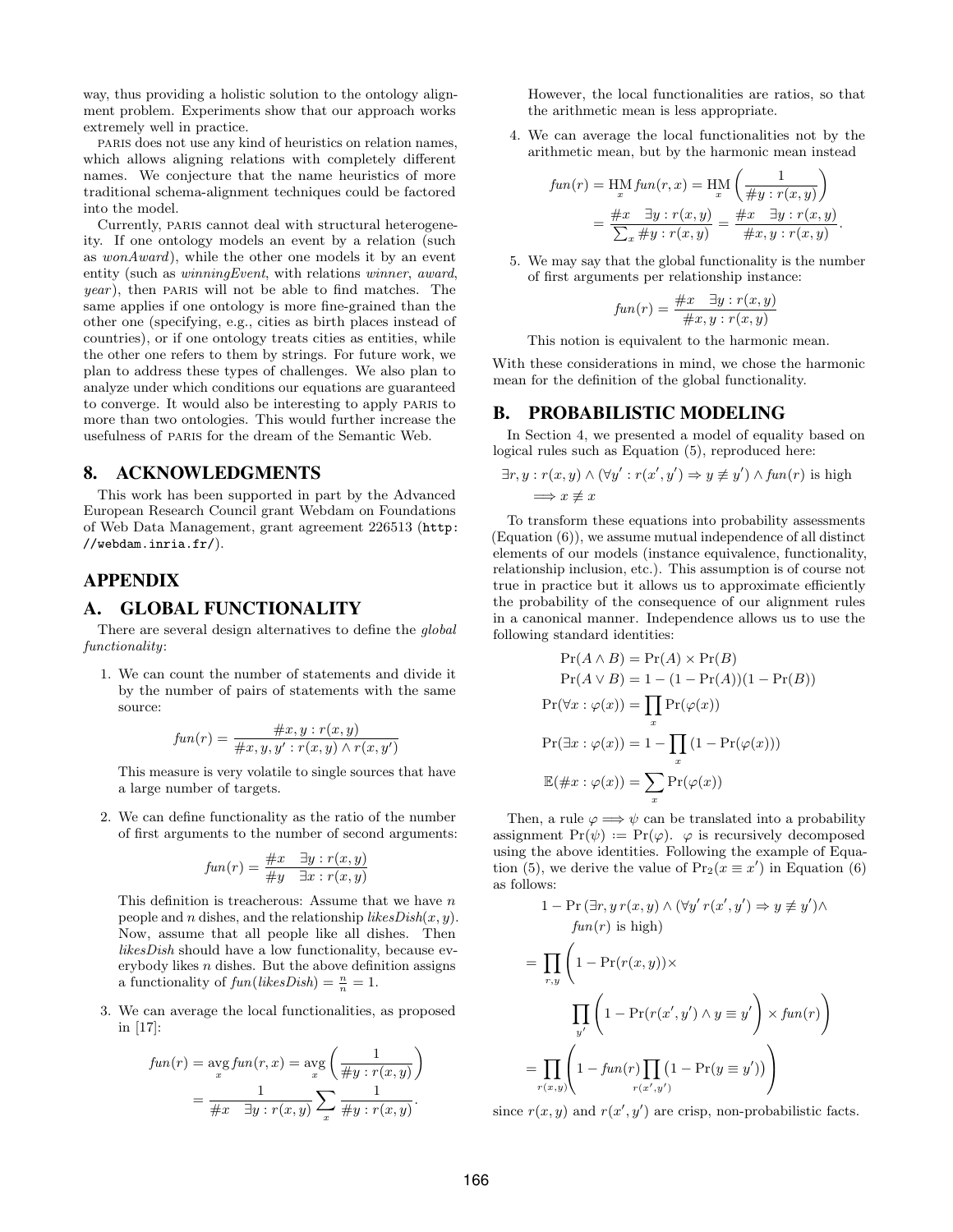way, thus providing a holistic solution to the ontology alignment problem. Experiments show that our approach works extremely well in practice.

paris does not use any kind of heuristics on relation names, which allows aligning relations with completely different names. We conjecture that the name heuristics of more traditional schema-alignment techniques could be factored into the model.

Currently, paris cannot deal with structural heterogeneity. If one ontology models an event by a relation (such as wonAward), while the other one models it by an event entity (such as *winningEvent*, with relations *winner*, *award*, year), then PARIS will not be able to find matches. The same applies if one ontology is more fine-grained than the other one (specifying, e.g., cities as birth places instead of countries), or if one ontology treats cities as entities, while the other one refers to them by strings. For future work, we plan to address these types of challenges. We also plan to analyze under which conditions our equations are guaranteed to converge. It would also be interesting to apply paris to more than two ontologies. This would further increase the usefulness of paris for the dream of the Semantic Web.

# 8. ACKNOWLEDGMENTS

This work has been supported in part by the Advanced European Research Council grant Webdam on Foundations of Web Data Management, grant agreement 226513 (http: //webdam.inria.fr/).

# APPENDIX

# A. GLOBAL FUNCTIONALITY

There are several design alternatives to define the global functionality:

1. We can count the number of statements and divide it by the number of pairs of statements with the same source:

$$
fun(r) = \frac{\#x, y : r(x, y)}{\#x, y, y' : r(x, y) \land r(x, y')}
$$

This measure is very volatile to single sources that have a large number of targets.

2. We can define functionality as the ratio of the number of first arguments to the number of second arguments:

$$
fun(r) = \frac{\#x \quad \exists y : r(x, y)}{\#y \quad \exists x : r(x, y)}
$$

This definition is treacherous: Assume that we have  $n$ people and n dishes, and the relationship  $likesDisk(s, y)$ . Now, assume that all people like all dishes. Then likesDish should have a low functionality, because everybody likes  $n$  dishes. But the above definition assigns a functionality of  $fun(likesDish) = \frac{n}{n} = 1.$ 

3. We can average the local functionalities, as proposed in [17]:

$$
fun(r) = \operatorname*{avg}_{x} fun(r, x) = \operatorname*{avg}_{x} \left( \frac{1}{\#y : r(x, y)} \right)
$$

$$
= \frac{1}{\#x \quad \exists y : r(x, y)} \sum_{x} \frac{1}{\#y : r(x, y)}.
$$

However, the local functionalities are ratios, so that the arithmetic mean is less appropriate.

4. We can average the local functionalities not by the arithmetic mean, but by the harmonic mean instead

$$
fun(r) = \lim_{x} fun(r, x) = \lim_{x} \left( \frac{1}{\#y : r(x, y)} \right)
$$
  
= 
$$
\frac{\#x}{\sum_{x} \#y : r(x, y)} = \frac{\#x}{\#x, y : r(x, y)}.
$$

5. We may say that the global functionality is the number of first arguments per relationship instance:

$$
fun(r) = \frac{\#x \quad \exists y : r(x, y)}{\#x, y : r(x, y)}
$$

This notion is equivalent to the harmonic mean.

With these considerations in mind, we chose the harmonic mean for the definition of the global functionality.

#### B. PROBABILISTIC MODELING

In Section 4, we presented a model of equality based on logical rules such as Equation (5), reproduced here:

$$
\exists r, y : r(x, y) \land (\forall y' : r(x', y') \Rightarrow y \not\equiv y') \land fun(r) \text{ is high}
$$

$$
\Rightarrow x \not\equiv x
$$

To transform these equations into probability assessments (Equation (6)), we assume mutual independence of all distinct elements of our models (instance equivalence, functionality, relationship inclusion, etc.). This assumption is of course not true in practice but it allows us to approximate efficiently the probability of the consequence of our alignment rules in a canonical manner. Independence allows us to use the following standard identities:

$$
Pr(A \wedge B) = Pr(A) \times Pr(B)
$$
  
\n
$$
Pr(A \vee B) = 1 - (1 - Pr(A))(1 - Pr(B))
$$
  
\n
$$
Pr(\forall x : \varphi(x)) = \prod_{x} Pr(\varphi(x))
$$
  
\n
$$
Pr(\exists x : \varphi(x)) = 1 - \prod_{x} (1 - Pr(\varphi(x)))
$$
  
\n
$$
E(\#x : \varphi(x)) = \sum_{x} Pr(\varphi(x))
$$

Then, a rule  $\varphi \Longrightarrow \psi$  can be translated into a probability assignment  $Pr(\psi) := Pr(\varphi)$ .  $\varphi$  is recursively decomposed using the above identities. Following the example of Equation (5), we derive the value of  $Pr_2(x \equiv x')$  in Equation (6) as follows:

$$
1 - \Pr(\exists r, y r(x, y) \land (\forall y' r(x', y') \Rightarrow y \neq y') \land
$$
  
\n
$$
fun(r) \text{ is high})
$$
  
\n
$$
= \prod_{r, y} \left( 1 - \Pr(r(x, y)) \times \prod_{y'} \left( 1 - \Pr(r(x', y') \land y \equiv y') \times fun(r) \right) \right)
$$
  
\n
$$
= \prod_{r(x, y)} \left( 1 - fun(r) \prod_{r(x', y')} (1 - \Pr(y \equiv y')) \right)
$$

since  $r(x, y)$  and  $r(x', y')$  are crisp, non-probabilistic facts.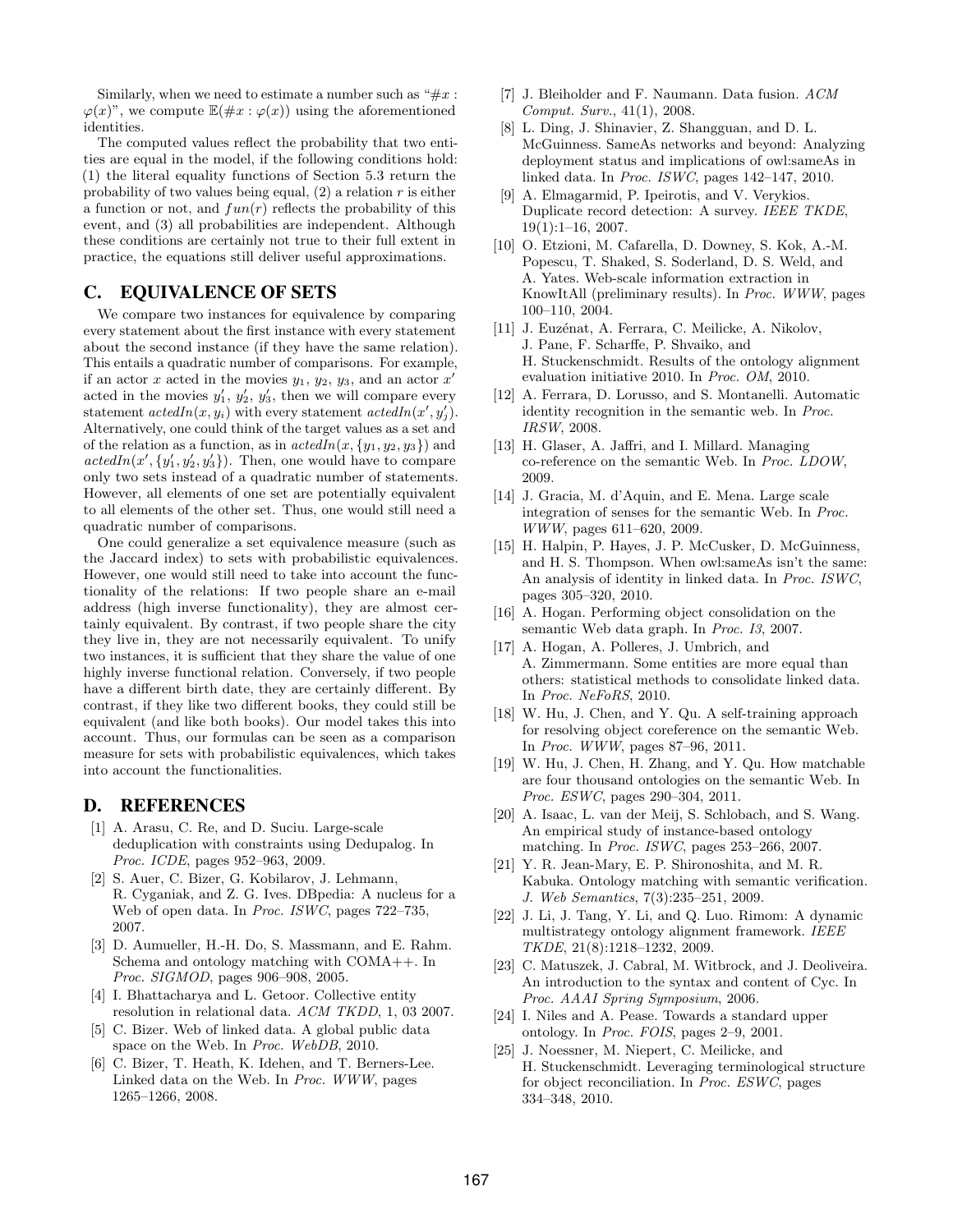Similarly, when we need to estimate a number such as " $\#x$ :  $\varphi(x)$ ", we compute  $\mathbb{E}(\#x : \varphi(x))$  using the aforementioned identities.

The computed values reflect the probability that two entities are equal in the model, if the following conditions hold: (1) the literal equality functions of Section 5.3 return the probability of two values being equal,  $(2)$  a relation r is either a function or not, and  $fun(r)$  reflects the probability of this event, and (3) all probabilities are independent. Although these conditions are certainly not true to their full extent in practice, the equations still deliver useful approximations.

## C. EQUIVALENCE OF SETS

We compare two instances for equivalence by comparing every statement about the first instance with every statement about the second instance (if they have the same relation). This entails a quadratic number of comparisons. For example, if an actor x acted in the movies  $y_1, y_2, y_3$ , and an actor x' acted in the movies  $y'_1, y'_2, y'_3$ , then we will compare every statement  $\operatorname{actedIn}(x, y_i)$  with every statement  $\operatorname{actedIn}(x', y'_j)$ . Alternatively, one could think of the target values as a set and of the relation as a function, as in  $\operatorname{actedIn}(x, \{y_1, y_2, y_3\})$  and  $\operatorname{actedIn}(x', \{y_1', y_2', y_3'\})$ . Then, one would have to compare only two sets instead of a quadratic number of statements. However, all elements of one set are potentially equivalent to all elements of the other set. Thus, one would still need a quadratic number of comparisons.

One could generalize a set equivalence measure (such as the Jaccard index) to sets with probabilistic equivalences. However, one would still need to take into account the functionality of the relations: If two people share an e-mail address (high inverse functionality), they are almost certainly equivalent. By contrast, if two people share the city they live in, they are not necessarily equivalent. To unify two instances, it is sufficient that they share the value of one highly inverse functional relation. Conversely, if two people have a different birth date, they are certainly different. By contrast, if they like two different books, they could still be equivalent (and like both books). Our model takes this into account. Thus, our formulas can be seen as a comparison measure for sets with probabilistic equivalences, which takes into account the functionalities.

## D. REFERENCES

- [1] A. Arasu, C. Re, and D. Suciu. Large-scale deduplication with constraints using Dedupalog. In Proc. ICDE, pages 952–963, 2009.
- [2] S. Auer, C. Bizer, G. Kobilarov, J. Lehmann, R. Cyganiak, and Z. G. Ives. DBpedia: A nucleus for a Web of open data. In Proc. ISWC, pages 722–735, 2007.
- [3] D. Aumueller, H.-H. Do, S. Massmann, and E. Rahm. Schema and ontology matching with COMA++. In Proc. SIGMOD, pages 906–908, 2005.
- [4] I. Bhattacharya and L. Getoor. Collective entity resolution in relational data. ACM TKDD, 1, 03 2007.
- [5] C. Bizer. Web of linked data. A global public data space on the Web. In Proc. WebDB, 2010.
- [6] C. Bizer, T. Heath, K. Idehen, and T. Berners-Lee. Linked data on the Web. In Proc. WWW, pages 1265–1266, 2008.
- [7] J. Bleiholder and F. Naumann. Data fusion. ACM Comput. Surv., 41(1), 2008.
- [8] L. Ding, J. Shinavier, Z. Shangguan, and D. L. McGuinness. SameAs networks and beyond: Analyzing deployment status and implications of owl:sameAs in linked data. In Proc. ISWC, pages 142–147, 2010.
- [9] A. Elmagarmid, P. Ipeirotis, and V. Verykios. Duplicate record detection: A survey. IEEE TKDE, 19(1):1–16, 2007.
- [10] O. Etzioni, M. Cafarella, D. Downey, S. Kok, A.-M. Popescu, T. Shaked, S. Soderland, D. S. Weld, and A. Yates. Web-scale information extraction in KnowItAll (preliminary results). In Proc. WWW, pages 100–110, 2004.
- [11] J. Euzénat, A. Ferrara, C. Meilicke, A. Nikolov, J. Pane, F. Scharffe, P. Shvaiko, and H. Stuckenschmidt. Results of the ontology alignment evaluation initiative 2010. In Proc. OM, 2010.
- [12] A. Ferrara, D. Lorusso, and S. Montanelli. Automatic identity recognition in the semantic web. In Proc. IRSW, 2008.
- [13] H. Glaser, A. Jaffri, and I. Millard. Managing co-reference on the semantic Web. In Proc. LDOW, 2009.
- [14] J. Gracia, M. d'Aquin, and E. Mena. Large scale integration of senses for the semantic Web. In Proc. WWW, pages 611–620, 2009.
- [15] H. Halpin, P. Hayes, J. P. McCusker, D. McGuinness, and H. S. Thompson. When owl:sameAs isn't the same: An analysis of identity in linked data. In Proc. ISWC, pages 305–320, 2010.
- [16] A. Hogan. Performing object consolidation on the semantic Web data graph. In Proc. I3, 2007.
- [17] A. Hogan, A. Polleres, J. Umbrich, and A. Zimmermann. Some entities are more equal than others: statistical methods to consolidate linked data. In Proc. NeFoRS, 2010.
- [18] W. Hu, J. Chen, and Y. Qu. A self-training approach for resolving object coreference on the semantic Web. In Proc. WWW, pages 87–96, 2011.
- [19] W. Hu, J. Chen, H. Zhang, and Y. Qu. How matchable are four thousand ontologies on the semantic Web. In Proc. ESWC, pages 290–304, 2011.
- [20] A. Isaac, L. van der Meij, S. Schlobach, and S. Wang. An empirical study of instance-based ontology matching. In Proc. ISWC, pages 253–266, 2007.
- [21] Y. R. Jean-Mary, E. P. Shironoshita, and M. R. Kabuka. Ontology matching with semantic verification. J. Web Semantics, 7(3):235–251, 2009.
- [22] J. Li, J. Tang, Y. Li, and Q. Luo. Rimom: A dynamic multistrategy ontology alignment framework. IEEE TKDE, 21(8):1218–1232, 2009.
- [23] C. Matuszek, J. Cabral, M. Witbrock, and J. Deoliveira. An introduction to the syntax and content of Cyc. In Proc. AAAI Spring Symposium, 2006.
- [24] I. Niles and A. Pease. Towards a standard upper ontology. In Proc. FOIS, pages 2–9, 2001.
- [25] J. Noessner, M. Niepert, C. Meilicke, and H. Stuckenschmidt. Leveraging terminological structure for object reconciliation. In Proc. ESWC, pages 334–348, 2010.